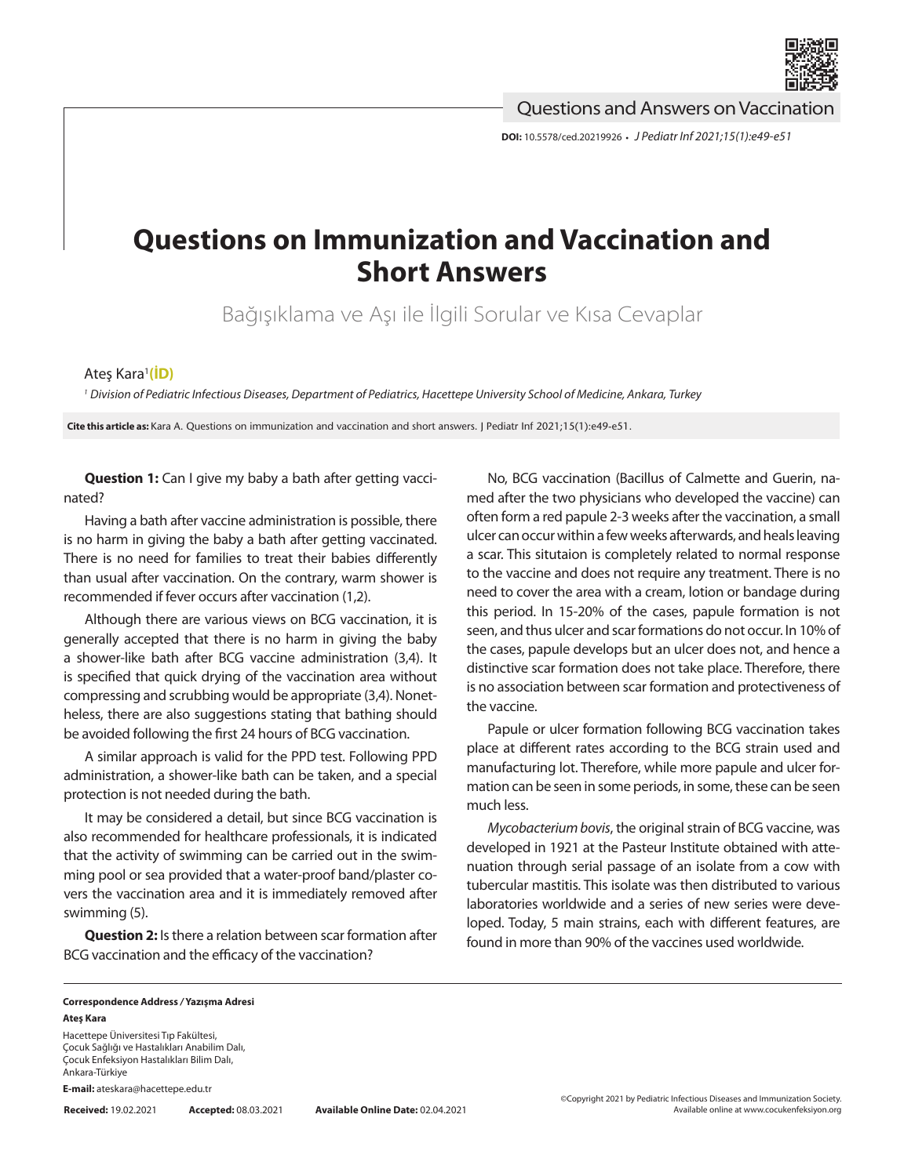

Questions and Answers on Vaccination

**DOI:** 10.5578/ced.20219926 **•** *J Pediatr Inf 2021;15(1):e49-e51*

## **Questions on Immunization and Vaccination and Short Answers**

Bağışıklama ve Aşı ile İlgili Sorular ve Kısa Cevaplar

## Ateş Kara<sup>ı</sup>[\(İD\)](https://orcid.org/0000-0002-1654-3232)

*<sup>1</sup> Division of Pediatric Infectious Diseases, Department of Pediatrics, Hacettepe University School of Medicine, Ankara, Turkey*

**Cite this article as:** Kara A. Questions on immunization and vaccination and short answers. J Pediatr Inf 2021;15(1):e49-e51.

**Question 1:** Can I give my baby a bath after getting vaccinated?

Having a bath after vaccine administration is possible, there is no harm in giving the baby a bath after getting vaccinated. There is no need for families to treat their babies differently than usual after vaccination. On the contrary, warm shower is recommended if fever occurs after vaccination (1,2).

Although there are various views on BCG vaccination, it is generally accepted that there is no harm in giving the baby a shower-like bath after BCG vaccine administration (3,4). It is specified that quick drying of the vaccination area without compressing and scrubbing would be appropriate (3,4). Nonetheless, there are also suggestions stating that bathing should be avoided following the first 24 hours of BCG vaccination.

A similar approach is valid for the PPD test. Following PPD administration, a shower-like bath can be taken, and a special protection is not needed during the bath.

It may be considered a detail, but since BCG vaccination is also recommended for healthcare professionals, it is indicated that the activity of swimming can be carried out in the swimming pool or sea provided that a water-proof band/plaster covers the vaccination area and it is immediately removed after swimming (5).

**Question 2:** Is there a relation between scar formation after BCG vaccination and the efficacy of the vaccination?

No, BCG vaccination (Bacillus of Calmette and Guerin, named after the two physicians who developed the vaccine) can often form a red papule 2-3 weeks after the vaccination, a small ulcer can occur within a few weeks afterwards, and heals leaving a scar. This situtaion is completely related to normal response to the vaccine and does not require any treatment. There is no need to cover the area with a cream, lotion or bandage during this period. In 15-20% of the cases, papule formation is not seen, and thus ulcer and scar formations do not occur. In 10% of the cases, papule develops but an ulcer does not, and hence a distinctive scar formation does not take place. Therefore, there is no association between scar formation and protectiveness of the vaccine.

Papule or ulcer formation following BCG vaccination takes place at different rates according to the BCG strain used and manufacturing lot. Therefore, while more papule and ulcer formation can be seen in some periods, in some, these can be seen much less.

*Mycobacterium bovis*, the original strain of BCG vaccine, was developed in 1921 at the Pasteur Institute obtained with attenuation through serial passage of an isolate from a cow with tubercular mastitis. This isolate was then distributed to various laboratories worldwide and a series of new series were developed. Today, 5 main strains, each with different features, are found in more than 90% of the vaccines used worldwide.

## **Correspondence Address** */* **Yazışma Adresi Ateş Kara**

Hacettepe Üniversitesi Tıp Fakültesi, Çocuk Sağlığı ve Hastalıkları Anabilim Dalı, Çocuk Enfeksiyon Hastalıkları Bilim Dalı, Ankara-Türkiye

**E-mail:** ateskara@hacettepe.edu.tr

**Received:** 19.02.2021 **Accepted:** 08.03.2021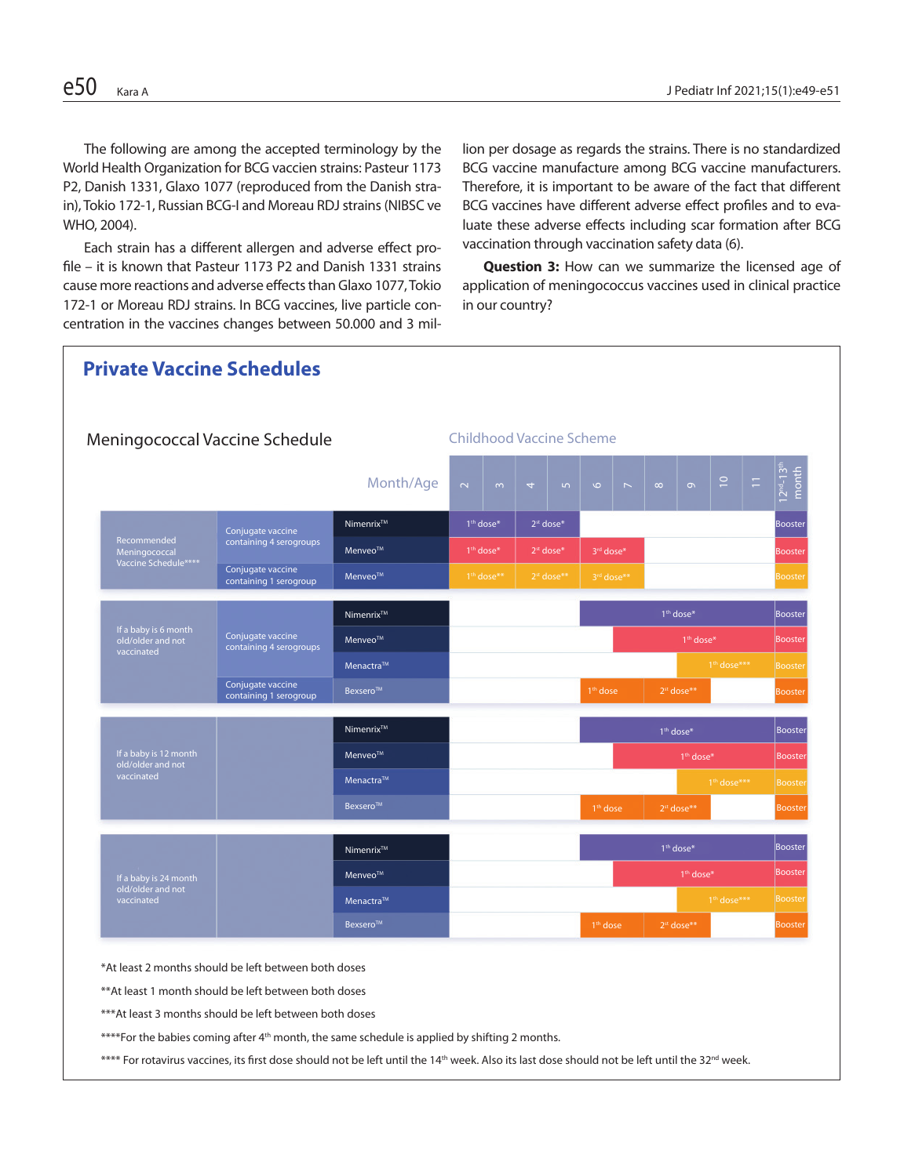The following are among the accepted terminology by the World Health Organization for BCG vaccien strains: Pasteur 1173 P2, Danish 1331, Glaxo 1077 (reproduced from the Danish strain), Tokio 172-1, Russian BCG-I and Moreau RDJ strains (NIBSC ve WHO, 2004).

Each strain has a different allergen and adverse effect profile – it is known that Pasteur 1173 P2 and Danish 1331 strains cause more reactions and adverse effects than Glaxo 1077, Tokio 172-1 or Moreau RDJ strains. In BCG vaccines, live particle concentration in the vaccines changes between 50.000 and 3 million per dosage as regards the strains. There is no standardized BCG vaccine manufacture among BCG vaccine manufacturers. Therefore, it is important to be aware of the fact that different BCG vaccines have different adverse effect profiles and to evaluate these adverse effects including scar formation after BCG vaccination through vaccination safety data (6).

**Question 3:** How can we summarize the licensed age of application of meningococcus vaccines used in clinical practice in our country?



\*At least 2 months should be left between both doses

\*\*At least 1 month should be left between both doses

\*\*\*At least 3 months should be left between both doses

\*\*\*\*For the babies coming after 4<sup>th</sup> month, the same schedule is applied by shifting 2 months.

\*\*\*\* For rotavirus vaccines, its first dose should not be left until the 14<sup>th</sup> week. Also its last dose should not be left until the 32<sup>nd</sup> week.